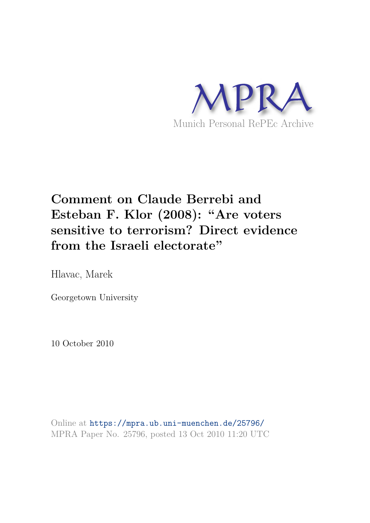

## **Comment on Claude Berrebi and Esteban F. Klor (2008): "Are voters sensitive to terrorism? Direct evidence from the Israeli electorate"**

Hlavac, Marek

Georgetown University

10 October 2010

Online at https://mpra.ub.uni-muenchen.de/25796/ MPRA Paper No. 25796, posted 13 Oct 2010 11:20 UTC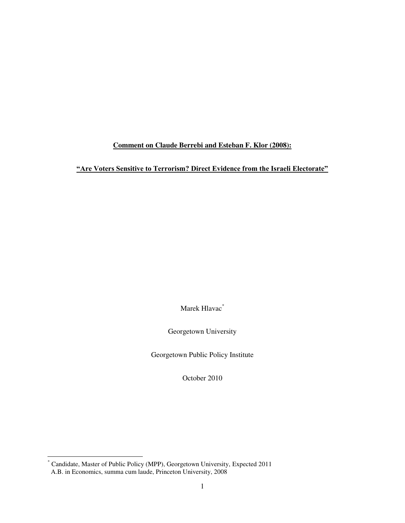## **Comment on Claude Berrebi and Esteban F. Klor (2008):**

## **"Are Voters Sensitive to Terrorism? Direct Evidence from the Israeli Electorate"**

Marek Hlavac<sup>\*</sup>

Georgetown University

Georgetown Public Policy Institute

October 2010

l

<sup>\*</sup> Candidate, Master of Public Policy (MPP), Georgetown University, Expected 2011 A.B. in Economics, summa cum laude, Princeton University, 2008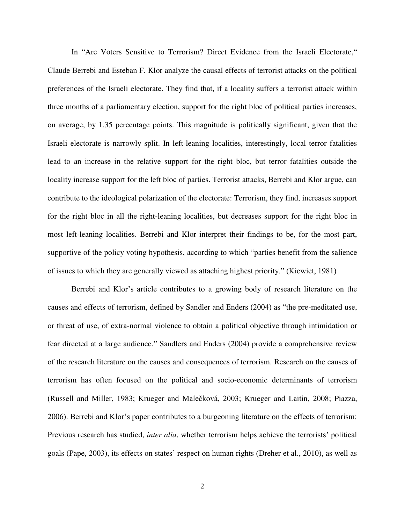In "Are Voters Sensitive to Terrorism? Direct Evidence from the Israeli Electorate," Claude Berrebi and Esteban F. Klor analyze the causal effects of terrorist attacks on the political preferences of the Israeli electorate. They find that, if a locality suffers a terrorist attack within three months of a parliamentary election, support for the right bloc of political parties increases, on average, by 1.35 percentage points. This magnitude is politically significant, given that the Israeli electorate is narrowly split. In left-leaning localities, interestingly, local terror fatalities lead to an increase in the relative support for the right bloc, but terror fatalities outside the locality increase support for the left bloc of parties. Terrorist attacks, Berrebi and Klor argue, can contribute to the ideological polarization of the electorate: Terrorism, they find, increases support for the right bloc in all the right-leaning localities, but decreases support for the right bloc in most left-leaning localities. Berrebi and Klor interpret their findings to be, for the most part, supportive of the policy voting hypothesis, according to which "parties benefit from the salience of issues to which they are generally viewed as attaching highest priority." (Kiewiet, 1981)

Berrebi and Klor's article contributes to a growing body of research literature on the causes and effects of terrorism, defined by Sandler and Enders (2004) as "the pre-meditated use, or threat of use, of extra-normal violence to obtain a political objective through intimidation or fear directed at a large audience." Sandlers and Enders (2004) provide a comprehensive review of the research literature on the causes and consequences of terrorism. Research on the causes of terrorism has often focused on the political and socio-economic determinants of terrorism (Russell and Miller, 1983; Krueger and Malečková, 2003; Krueger and Laitin, 2008; Piazza, 2006). Berrebi and Klor's paper contributes to a burgeoning literature on the effects of terrorism: Previous research has studied, *inter alia*, whether terrorism helps achieve the terrorists' political goals (Pape, 2003), its effects on states' respect on human rights (Dreher et al., 2010), as well as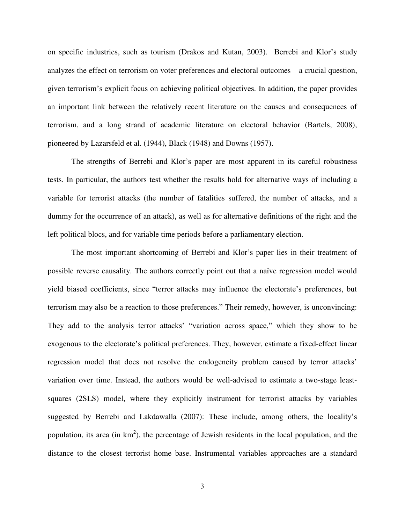on specific industries, such as tourism (Drakos and Kutan, 2003). Berrebi and Klor's study analyzes the effect on terrorism on voter preferences and electoral outcomes – a crucial question, given terrorism's explicit focus on achieving political objectives. In addition, the paper provides an important link between the relatively recent literature on the causes and consequences of terrorism, and a long strand of academic literature on electoral behavior (Bartels, 2008), pioneered by Lazarsfeld et al. (1944), Black (1948) and Downs (1957).

The strengths of Berrebi and Klor's paper are most apparent in its careful robustness tests. In particular, the authors test whether the results hold for alternative ways of including a variable for terrorist attacks (the number of fatalities suffered, the number of attacks, and a dummy for the occurrence of an attack), as well as for alternative definitions of the right and the left political blocs, and for variable time periods before a parliamentary election.

The most important shortcoming of Berrebi and Klor's paper lies in their treatment of possible reverse causality. The authors correctly point out that a naïve regression model would yield biased coefficients, since "terror attacks may influence the electorate's preferences, but terrorism may also be a reaction to those preferences." Their remedy, however, is unconvincing: They add to the analysis terror attacks' "variation across space," which they show to be exogenous to the electorate's political preferences. They, however, estimate a fixed-effect linear regression model that does not resolve the endogeneity problem caused by terror attacks' variation over time. Instead, the authors would be well-advised to estimate a two-stage leastsquares (2SLS) model, where they explicitly instrument for terrorist attacks by variables suggested by Berrebi and Lakdawalla (2007): These include, among others, the locality's population, its area (in  $km^2$ ), the percentage of Jewish residents in the local population, and the distance to the closest terrorist home base. Instrumental variables approaches are a standard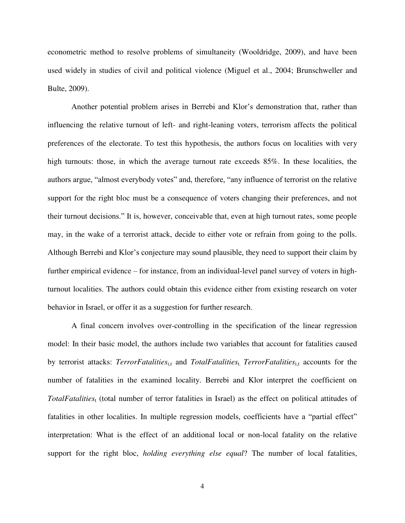econometric method to resolve problems of simultaneity (Wooldridge, 2009), and have been used widely in studies of civil and political violence (Miguel et al., 2004; Brunschweller and Bulte, 2009).

Another potential problem arises in Berrebi and Klor's demonstration that, rather than influencing the relative turnout of left- and right-leaning voters, terrorism affects the political preferences of the electorate. To test this hypothesis, the authors focus on localities with very high turnouts: those, in which the average turnout rate exceeds 85%. In these localities, the authors argue, "almost everybody votes" and, therefore, "any influence of terrorist on the relative support for the right bloc must be a consequence of voters changing their preferences, and not their turnout decisions." It is, however, conceivable that, even at high turnout rates, some people may, in the wake of a terrorist attack, decide to either vote or refrain from going to the polls. Although Berrebi and Klor's conjecture may sound plausible, they need to support their claim by further empirical evidence – for instance, from an individual-level panel survey of voters in highturnout localities. The authors could obtain this evidence either from existing research on voter behavior in Israel, or offer it as a suggestion for further research.

A final concern involves over-controlling in the specification of the linear regression model: In their basic model, the authors include two variables that account for fatalities caused by terrorist attacks: *TerrorFatalities*<sub>i,t</sub> and *TotalFatalities*<sub>t.</sub> *TerrorFatalities*<sub>i,t</sub> accounts for the number of fatalities in the examined locality. Berrebi and Klor interpret the coefficient on *TotalFatalities*<sup>t</sup> (total number of terror fatalities in Israel) as the effect on political attitudes of fatalities in other localities. In multiple regression models, coefficients have a "partial effect" interpretation: What is the effect of an additional local or non-local fatality on the relative support for the right bloc, *holding everything else equal*? The number of local fatalities,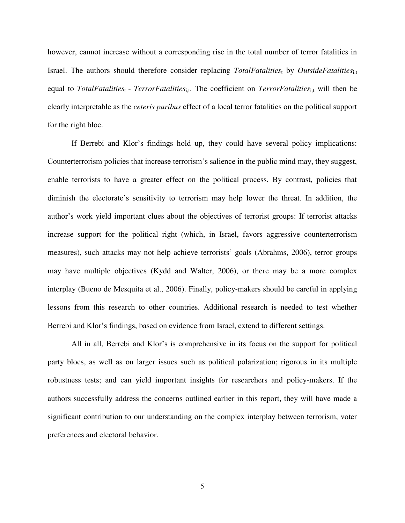however, cannot increase without a corresponding rise in the total number of terror fatalities in Israel. The authors should therefore consider replacing *TotalFatalities*t by *OutsideFatalities*<sub>i,t</sub> equal to *TotalFatalities*<sup>t</sup> - *TerrorFatalities*<sub>ij</sub>. The coefficient on *TerrorFatalities*<sub>ij</sub> will then be clearly interpretable as the *ceteris paribus* effect of a local terror fatalities on the political support for the right bloc.

If Berrebi and Klor's findings hold up, they could have several policy implications: Counterterrorism policies that increase terrorism's salience in the public mind may, they suggest, enable terrorists to have a greater effect on the political process. By contrast, policies that diminish the electorate's sensitivity to terrorism may help lower the threat. In addition, the author's work yield important clues about the objectives of terrorist groups: If terrorist attacks increase support for the political right (which, in Israel, favors aggressive counterterrorism measures), such attacks may not help achieve terrorists' goals (Abrahms, 2006), terror groups may have multiple objectives (Kydd and Walter, 2006), or there may be a more complex interplay (Bueno de Mesquita et al., 2006). Finally, policy-makers should be careful in applying lessons from this research to other countries. Additional research is needed to test whether Berrebi and Klor's findings, based on evidence from Israel, extend to different settings.

All in all, Berrebi and Klor's is comprehensive in its focus on the support for political party blocs, as well as on larger issues such as political polarization; rigorous in its multiple robustness tests; and can yield important insights for researchers and policy-makers. If the authors successfully address the concerns outlined earlier in this report, they will have made a significant contribution to our understanding on the complex interplay between terrorism, voter preferences and electoral behavior.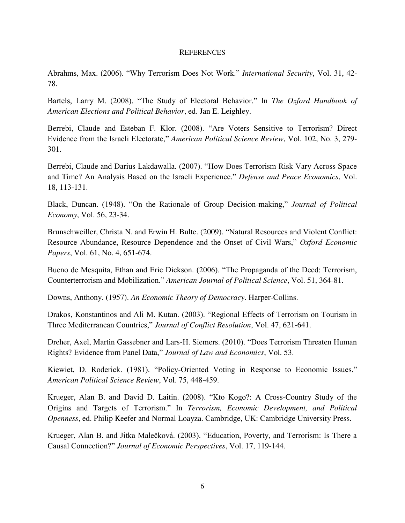## **REFERENCES**

Abrahms, Max. (2006). "Why Terrorism Does Not Work." *International Security*, Vol. 31, 42- 78.

Bartels, Larry M. (2008). "The Study of Electoral Behavior." In *The Oxford Handbook of American Elections and Political Behavior*, ed. Jan E. Leighley.

Berrebi, Claude and Esteban F. Klor. (2008). "Are Voters Sensitive to Terrorism? Direct Evidence from the Israeli Electorate," *American Political Science Review*, Vol. 102, No. 3, 279- 301.

Berrebi, Claude and Darius Lakdawalla. (2007). "How Does Terrorism Risk Vary Across Space and Time? An Analysis Based on the Israeli Experience." *Defense and Peace Economics*, Vol. 18, 113-131.

Black, Duncan. (1948). "On the Rationale of Group Decision-making," *Journal of Political Economy*, Vol. 56, 23-34.

Brunschweiller, Christa N. and Erwin H. Bulte. (2009). "Natural Resources and Violent Conflict: Resource Abundance, Resource Dependence and the Onset of Civil Wars," *Oxford Economic Papers*, Vol. 61, No. 4, 651-674.

Bueno de Mesquita, Ethan and Eric Dickson. (2006). "The Propaganda of the Deed: Terrorism, Counterterrorism and Mobilization." *American Journal of Political Science*, Vol. 51, 364-81.

Downs, Anthony. (1957). *An Economic Theory of Democracy*. Harper-Collins.

Drakos, Konstantinos and Ali M. Kutan. (2003). "Regional Effects of Terrorism on Tourism in Three Mediterranean Countries," *Journal of Conflict Resolution*, Vol. 47, 621-641.

Dreher, Axel, Martin Gassebner and Lars-H. Siemers. (2010). "Does Terrorism Threaten Human Rights? Evidence from Panel Data," *Journal of Law and Economics*, Vol. 53.

Kiewiet, D. Roderick. (1981). "Policy-Oriented Voting in Response to Economic Issues." *American Political Science Review*, Vol. 75, 448-459.

Krueger, Alan B. and David D. Laitin. (2008). "Kto Kogo?: A Cross-Country Study of the Origins and Targets of Terrorism." In *Terrorism, Economic Development, and Political Openness*, ed. Philip Keefer and Normal Loayza. Cambridge, UK: Cambridge University Press.

Krueger, Alan B. and Jitka Malečková. (2003). "Education, Poverty, and Terrorism: Is There a Causal Connection?" *Journal of Economic Perspectives*, Vol. 17, 119-144.